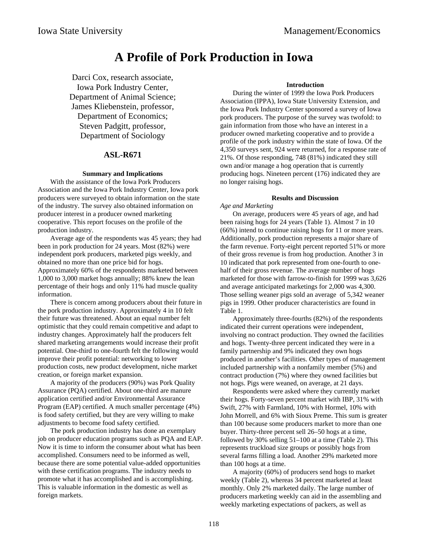# **A Profile of Pork Production in Iowa**

Darci Cox, research associate, Iowa Pork Industry Center, Department of Animal Science; James Kliebenstein, professor, Department of Economics; Steven Padgitt, professor, Department of Sociology

### **ASL-R671**

### **Summary and Implications**

With the assistance of the Iowa Pork Producers Association and the Iowa Pork Industry Center, Iowa pork producers were surveyed to obtain information on the state of the industry. The survey also obtained information on producer interest in a producer owned marketing cooperative. This report focuses on the profile of the production industry.

Average age of the respondents was 45 years; they had been in pork production for 24 years. Most (82%) were independent pork producers, marketed pigs weekly, and obtained no more than one price bid for hogs. Approximately 60% of the respondents marketed between 1,000 to 3,000 market hogs annually; 88% knew the lean percentage of their hogs and only 11% had muscle quality information.

There is concern among producers about their future in the pork production industry. Approximately 4 in 10 felt their future was threatened. About an equal number felt optimistic that they could remain competitive and adapt to industry changes. Approximately half the producers felt shared marketing arrangements would increase their profit potential. One-third to one-fourth felt the following would improve their profit potential: networking to lower production costs, new product development, niche market creation, or foreign market expansion.

A majority of the producers (90%) was Pork Quality Assurance (PQA) certified. About one-third are manure application certified and/or Environmental Assurance Program (EAP) certified. A much smaller percentage (4%) is food safety certified, but they are very willing to make adjustments to become food safety certified.

The pork production industry has done an exemplary job on producer education programs such as PQA and EAP. Now it is time to inform the consumer about what has been accomplished. Consumers need to be informed as well, because there are some potential value-added opportunities with these certification programs. The industry needs to promote what it has accomplished and is accomplishing. This is valuable information in the domestic as well as foreign markets.

### **Introduction**

During the winter of 1999 the Iowa Pork Producers Association (IPPA), Iowa State University Extension, and the Iowa Pork Industry Center sponsored a survey of Iowa pork producers. The purpose of the survey was twofold: to gain information from those who have an interest in a producer owned marketing cooperative and to provide a profile of the pork industry within the state of Iowa. Of the 4,350 surveys sent, 924 were returned, for a response rate of 21%. Of those responding, 748 (81%) indicated they still own and/or manage a hog operation that is currently producing hogs. Nineteen percent (176) indicated they are no longer raising hogs.

### **Results and Discussion**

*Age and Marketing*

On average, producers were 45 years of age, and had been raising hogs for 24 years (Table 1). Almost 7 in 10 (66%) intend to continue raising hogs for 11 or more years. Additionally, pork production represents a major share of the farm revenue. Forty-eight percent reported 51% or more of their gross revenue is from hog production. Another 3 in 10 indicated that pork represented from one-fourth to onehalf of their gross revenue. The average number of hogs marketed for those with farrow-to-finish for 1999 was 3,626 and average anticipated marketings for 2,000 was 4,300. Those selling weaner pigs sold an average of 5,342 weaner pigs in 1999. Other producer characteristics are found in Table 1.

Approximately three-fourths (82%) of the respondents indicated their current operations were independent, involving no contract production. They owned the facilities and hogs. Twenty-three percent indicated they were in a family partnership and 9% indicated they own hogs produced in another's facilities. Other types of management included partnership with a nonfamily member (5%) and contract production (7%) where they owned facilities but not hogs. Pigs were weaned, on average, at 21 days.

Respondents were asked where they currently market their hogs. Forty-seven percent market with IBP, 31% with Swift, 27% with Farmland, 10% with Hormel, 10% with John Morrell, and 6% with Sioux Preme. This sum is greater than 100 because some producers market to more than one buyer. Thirty-three percent sell 26–50 hogs at a time, followed by 30% selling 51–100 at a time (Table 2). This represents truckload size groups or possibly hogs from several farms filling a load. Another 29% marketed more than 100 hogs at a time.

A majority (60%) of producers send hogs to market weekly (Table 2), whereas 34 percent marketed at least monthly. Only 2% marketed daily. The large number of producers marketing weekly can aid in the assembling and weekly marketing expectations of packers, as well as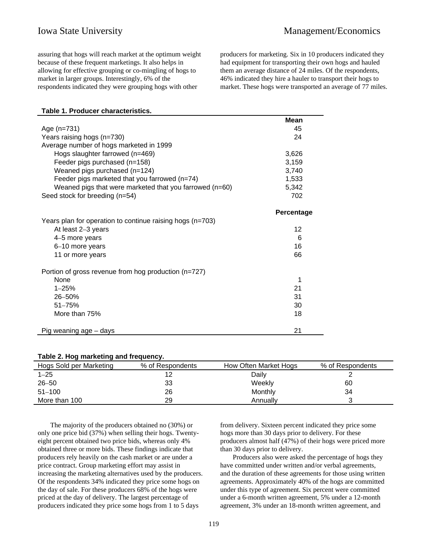assuring that hogs will reach market at the optimum weight because of these frequent marketings. It also helps in allowing for effective grouping or co-mingling of hogs to market in larger groups. Interestingly, 6% of the respondents indicated they were grouping hogs with other

producers for marketing. Six in 10 producers indicated they had equipment for transporting their own hogs and hauled them an average distance of 24 miles. Of the respondents, 46% indicated they hire a hauler to transport their hogs to market. These hogs were transported an average of 77 miles.

|  | Table 1. Producer characteristics. |  |
|--|------------------------------------|--|
|  |                                    |  |

| 45         |
|------------|
| 24         |
|            |
| 3,626      |
| 3,159      |
| 3,740      |
| 1,533      |
| 5,342      |
| 702        |
|            |
| Percentage |
|            |
| 12         |
| 6          |
| 16         |
| 66         |
|            |
| 1          |
| 21         |
| 31         |
|            |
| 30         |
| 18         |
| 21         |
|            |

### **Table 2. Hog marketing and frequency.**

| Hogs Sold per Marketing | % of Respondents | How Often Market Hogs | % of Respondents |
|-------------------------|------------------|-----------------------|------------------|
| $1 - 25$                |                  | Daily                 |                  |
| $26 - 50$               | 33               | Weekly                | 60               |
| $51 - 100$              | 26               | Monthly               | 34               |
| More than 100           | 29               | Annuallv              |                  |
|                         |                  |                       |                  |

The majority of the producers obtained no (30%) or only one price bid (37%) when selling their hogs. Twentyeight percent obtained two price bids, whereas only 4% obtained three or more bids. These findings indicate that producers rely heavily on the cash market or are under a price contract. Group marketing effort may assist in increasing the marketing alternatives used by the producers. Of the respondents 34% indicated they price some hogs on the day of sale. For these producers 68% of the hogs were priced at the day of delivery. The largest percentage of producers indicated they price some hogs from 1 to 5 days

from delivery. Sixteen percent indicated they price some hogs more than 30 days prior to delivery. For these producers almost half (47%) of their hogs were priced more than 30 days prior to delivery.

Producers also were asked the percentage of hogs they have committed under written and/or verbal agreements, and the duration of these agreements for those using written agreements. Approximately 40% of the hogs are committed under this type of agreement. Six percent were committed under a 6-month written agreement, 5% under a 12-month agreement, 3% under an 18-month written agreement, and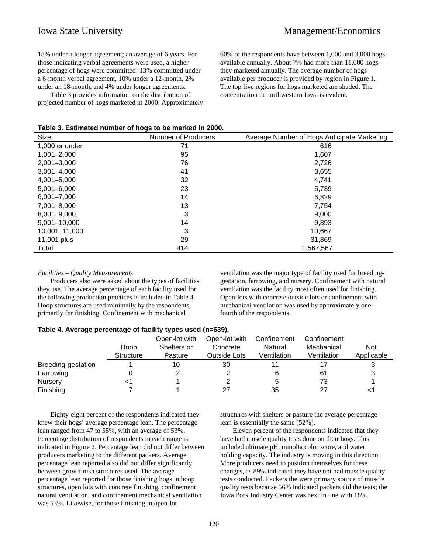18% under a longer agreement; an average of 6 years. For those indicating verbal agreements were used, a higher percentage of hogs were committed: 13% committed under a 6-month verbal agreement, 10% under a 12-month, 2% under an 18-month, and 4% under longer agreements.

Table 3 provides information on the distribution of projected number of hogs marketed in 2000. Approximately 60% of the respondents have between 1,000 and 3,000 hogs available annually. About 7% had more than 11,000 hogs they marketed annually. The average number of hogs available per producer is provided by region in Figure 1. The top five regions for hogs marketed are shaded. The concentration in northwestern Iowa is evident.

| Table 3. Estimated number of hogs to be marked in 2000. |  |  |  |  |  |  |  |
|---------------------------------------------------------|--|--|--|--|--|--|--|
|---------------------------------------------------------|--|--|--|--|--|--|--|

| Size             | Number of Producers | Average Number of Hogs Anticipate Marketing |
|------------------|---------------------|---------------------------------------------|
| 1,000 or under   | 71                  | 616                                         |
| $1,001 - 2,000$  | 95                  | 1,607                                       |
| $2,001 - 3,000$  | 76                  | 2,726                                       |
| $3,001 - 4,000$  | 41                  | 3,655                                       |
| 4,001-5,000      | 32                  | 4.741                                       |
| $5,001 - 6,000$  | 23                  | 5,739                                       |
| $6,001 - 7,000$  | 14                  | 6,829                                       |
| 7,001-8,000      | 13                  | 7,754                                       |
| 8,001-9,000      | 3                   | 9,000                                       |
| $9,001 - 10,000$ | 14                  | 9,893                                       |
| 10,001-11,000    | 3                   | 10.667                                      |
| 11,001 plus      | 29                  | 31,869                                      |
| Total            | 414                 | 1.567.567                                   |

### *Facilities – Quality Measurements*

Producers also were asked about the types of facilities they use. The average percentage of each facility used for the following production practices is included in Table 4. Hoop structures are used minimally by the respondents, primarily for finishing. Confinement with mechanical

ventilation was the major type of facility used for breedinggestation, farrowing, and nursery. Confinement with natural ventilation was the facility most often used for finishing. Open-lots with concrete outside lots or confinement with mechanical ventilation was used by approximately onefourth of the respondents.

| Table 4. Average percentage of facility types used (n=639). |  |  |
|-------------------------------------------------------------|--|--|
|-------------------------------------------------------------|--|--|

|                    |                  | Open-lot with | Open-lot with | Confinement | Confinement |            |
|--------------------|------------------|---------------|---------------|-------------|-------------|------------|
|                    | Hoop             | Shelters or   | Concrete      | Natural     | Mechanical  | <b>Not</b> |
|                    | <b>Structure</b> | Pasture       | Outside Lots  | Ventilation | Ventilation | Applicable |
| Breeding-gestation |                  | 10            | 30            |             |             |            |
| Farrowing          |                  |               |               |             | 61          |            |
| Nursery            |                  |               |               |             | 73          |            |
| Finishing          |                  |               |               | 35          | 27          |            |

Eighty-eight percent of the respondents indicated they knew their hogs' average percentage lean. The percentage lean ranged from 47 to 55%, with an average of 53%. Percentage distribution of respondents in each range is indicated in Figure 2. Percentage lean did not differ between producers marketing to the different packers. Average percentage lean reported also did not differ significantly between grow-finish structures used. The average percentage lean reported for those finishing hogs in hoop structures, open lots with concrete finishing, confinement natural ventilation, and confinement mechanical ventilation was 53%. Likewise, for those finishing in open-lot

structures with shelters or pasture the average percentage lean is essentially the same (52%).

Eleven percent of the respondents indicated that they have had muscle quality tests done on their hogs. This included ultimate pH, minolta color score, and water holding capacity. The industry is moving in this direction. More producers need to position themselves for these changes, as 89% indicated they have not had muscle quality tests conducted. Packers the were primary source of muscle quality tests because 56% indicated packers did the tests; the Iowa Pork Industry Center was next in line with 18%.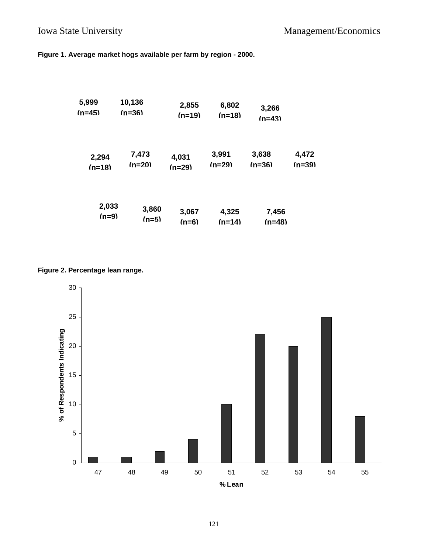**Figure 1. Average market hogs available per farm by region - 2000.**

| 5,999    | 10,136   | 2,855    | 6,802    | 3,266    |          |
|----------|----------|----------|----------|----------|----------|
| $(n=45)$ | $(n=36)$ | $(n=19)$ | $(n=18)$ | $(n=43)$ |          |
| 2,294    | 7,473    | 4,031    | 3,991    | 3,638    | 4,472    |
| $(n=18)$ | $(n=20)$ | $(n=29)$ | $(n=29)$ | $(n=36)$ | $(n=39)$ |
| 2,033    | 3,860    | 3,067    | 4,325    | 7,456    |          |
| $(n=9)$  | $(n=5)$  | $(n=6)$  | $(n=14)$ | $(n=48)$ |          |

# **Figure 2. Percentage lean range.**

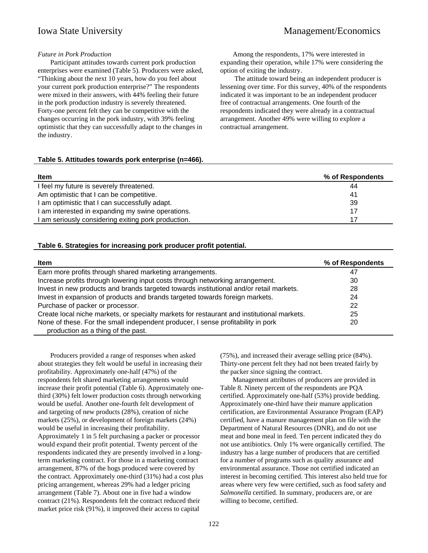# Iowa State University Management/Economics

### *Future in Pork Production*

Participant attitudes towards current pork production enterprises were examined (Table 5). Producers were asked, "Thinking about the next 10 years, how do you feel about your current pork production enterprise?" The respondents were mixed in their answers, with 44% feeling their future in the pork production industry is severely threatened. Forty-one percent felt they can be competitive with the changes occurring in the pork industry, with 39% feeling optimistic that they can successfully adapt to the changes in the industry.

Among the respondents, 17% were interested in expanding their operation, while 17% were considering the option of exiting the industry.

 The attitude toward being an independent producer is lessening over time. For this survey, 40% of the respondents indicated it was important to be an independent producer free of contractual arrangements. One fourth of the respondents indicated they were already in a contractual arrangement. Another 49% were willing to explore a contractual arrangement.

### **Table 5. Attitudes towards pork enterprise (n=466).**

| <b>Item</b>                                       | % of Respondents |
|---------------------------------------------------|------------------|
| I feel my future is severely threatened.          | 44               |
| Am optimistic that I can be competitive.          | 41               |
| I am optimistic that I can successfully adapt.    | 39               |
| am interested in expanding my swine operations.   | 17               |
| am seriously considering exiting pork production. | 17               |

### **Table 6. Strategies for increasing pork producer profit potential.**

| <b>Item</b>                                                                                | % of Respondents |
|--------------------------------------------------------------------------------------------|------------------|
| Earn more profits through shared marketing arrangements.                                   | 47               |
| Increase profits through lowering input costs through networking arrangement.              | 30               |
| Invest in new products and brands targeted towards institutional and/or retail markets.    | 28               |
| Invest in expansion of products and brands targeted towards foreign markets.               | 24               |
| Purchase of packer or processor.                                                           | 22               |
| Create local niche markets, or specialty markets for restaurant and institutional markets. | 25               |
| None of these. For the small independent producer, I sense profitability in pork           | 20               |
| production as a thing of the past.                                                         |                  |

Producers provided a range of responses when asked about strategies they felt would be useful in increasing their profitability. Approximately one-half (47%) of the respondents felt shared marketing arrangements would increase their profit potential (Table 6). Approximately onethird (30%) felt lower production costs through networking would be useful. Another one-fourth felt development of and targeting of new products (28%), creation of niche markets (25%), or development of foreign markets (24%) would be useful in increasing their profitability. Approximately 1 in 5 felt purchasing a packer or processor would expand their profit potential. Twenty percent of the respondents indicated they are presently involved in a longterm marketing contract. For those in a marketing contract arrangement, 87% of the hogs produced were covered by the contract. Approximately one-third (31%) had a cost plus pricing arrangement, whereas 29% had a ledger pricing arrangement (Table 7). About one in five had a window contract (21%). Respondents felt the contract reduced their market price risk (91%), it improved their access to capital

(75%), and increased their average selling price (84%). Thirty-one percent felt they had not been treated fairly by the packer since signing the contract.

Management attributes of producers are provided in Table 8. Ninety percent of the respondents are PQA certified. Approximately one-half (53%) provide bedding. Approximately one-third have their manure application certification, are Environmental Assurance Program (EAP) certified, have a manure management plan on file with the Department of Natural Resources (DNR), and do not use meat and bone meal in feed. Ten percent indicated they do not use antibiotics. Only 1% were organically certified. The industry has a large number of producers that are certified for a number of programs such as quality assurance and environmental assurance. Those not certified indicated an interest in becoming certified. This interest also held true for areas where very few were certified, such as food safety and *Salmonella* certified. In summary, producers are, or are willing to become, certified.